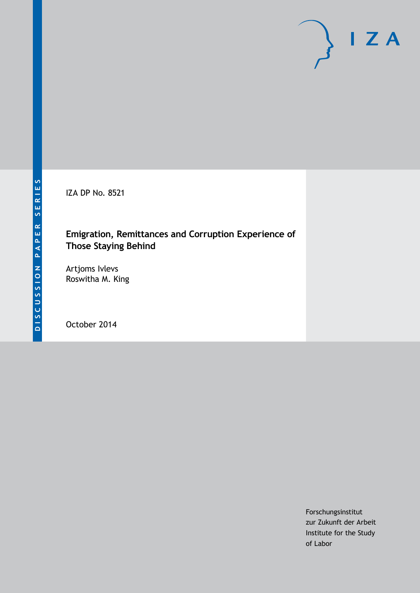IZA DP No. 8521

## **Emigration, Remittances and Corruption Experience of Those Staying Behind**

Artjoms Ivlevs Roswitha M. King

October 2014

Forschungsinstitut zur Zukunft der Arbeit Institute for the Study of Labor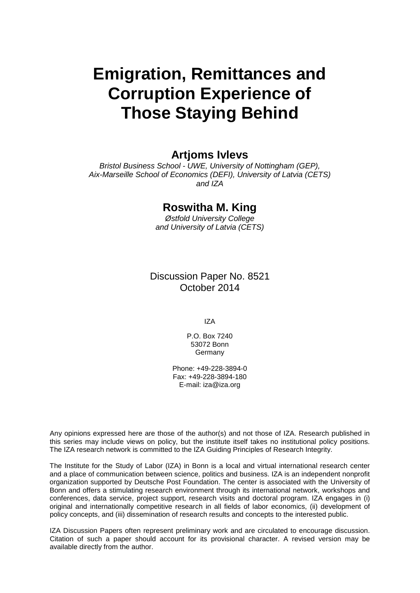# **Emigration, Remittances and Corruption Experience of Those Staying Behind**

### **Artjoms Ivlevs**

*Bristol Business School - UWE, University of Nottingham (GEP), Aix-Marseille School of Economics (DEFI), University of Latvia (CETS) and IZA*

### **Roswitha M. King**

*Østfold University College and University of Latvia (CETS)*

Discussion Paper No. 8521 October 2014

IZA

P.O. Box 7240 53072 Bonn Germany

Phone: +49-228-3894-0 Fax: +49-228-3894-180 E-mail: [iza@iza.org](mailto:iza@iza.org)

Any opinions expressed here are those of the author(s) and not those of IZA. Research published in this series may include views on policy, but the institute itself takes no institutional policy positions. The IZA research network is committed to the IZA Guiding Principles of Research Integrity.

The Institute for the Study of Labor (IZA) in Bonn is a local and virtual international research center and a place of communication between science, politics and business. IZA is an independent nonprofit organization supported by Deutsche Post Foundation. The center is associated with the University of Bonn and offers a stimulating research environment through its international network, workshops and conferences, data service, project support, research visits and doctoral program. IZA engages in (i) original and internationally competitive research in all fields of labor economics, (ii) development of policy concepts, and (iii) dissemination of research results and concepts to the interested public.

<span id="page-1-0"></span>IZA Discussion Papers often represent preliminary work and are circulated to encourage discussion. Citation of such a paper should account for its provisional character. A revised version may be available directly from the author.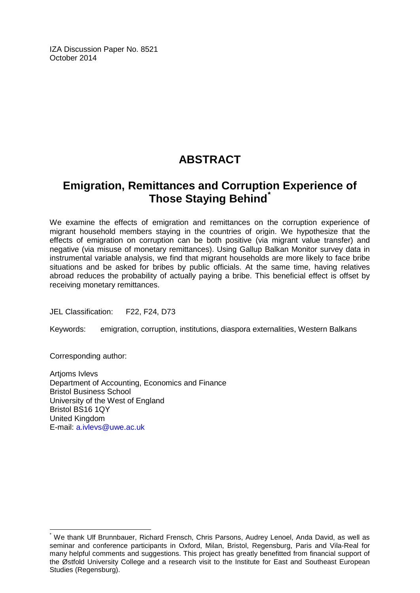IZA Discussion Paper No. 8521 October 2014

# **ABSTRACT**

# **Emigration, Remittances and Corruption Experience of Those Staying Behind[\\*](#page-1-0)**

We examine the effects of emigration and remittances on the corruption experience of migrant household members staying in the countries of origin. We hypothesize that the effects of emigration on corruption can be both positive (via migrant value transfer) and negative (via misuse of monetary remittances). Using Gallup Balkan Monitor survey data in instrumental variable analysis, we find that migrant households are more likely to face bribe situations and be asked for bribes by public officials. At the same time, having relatives abroad reduces the probability of actually paying a bribe. This beneficial effect is offset by receiving monetary remittances.

JEL Classification: F22, F24, D73

Keywords: emigration, corruption, institutions, diaspora externalities, Western Balkans

Corresponding author:

Artjoms Ivlevs Department of Accounting, Economics and Finance Bristol Business School University of the West of England Bristol BS16 1QY United Kingdom E-mail: [a.ivlevs@uwe.ac.uk](mailto:a.ivlevs@uwe.ac.uk)

We thank Ulf Brunnbauer, Richard Frensch, Chris Parsons, Audrey Lenoel, Anda David, as well as seminar and conference participants in Oxford, Milan, Bristol, Regensburg, Paris and Vila-Real for many helpful comments and suggestions. This project has greatly benefitted from financial support of the Østfold University College and a research visit to the Institute for East and Southeast European Studies (Regensburg).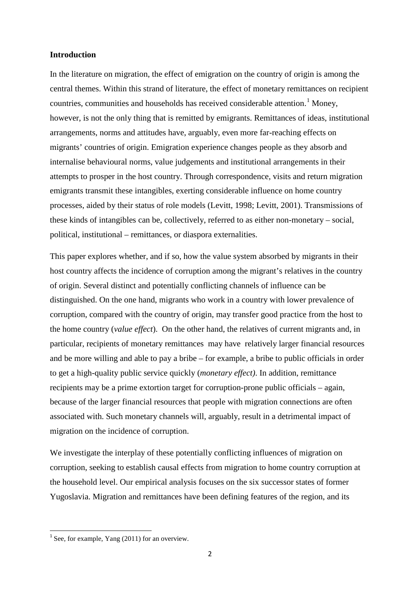#### **Introduction**

In the literature on migration, the effect of emigration on the country of origin is among the central themes. Within this strand of literature, the effect of monetary remittances on recipient countries, communities and households has received considerable attention. [1](#page-9-0) Money, however, is not the only thing that is remitted by emigrants. Remittances of ideas, institutional arrangements, norms and attitudes have, arguably, even more far-reaching effects on migrants' countries of origin. Emigration experience changes people as they absorb and internalise behavioural norms, value judgements and institutional arrangements in their attempts to prosper in the host country. Through correspondence, visits and return migration emigrants transmit these intangibles, exerting considerable influence on home country processes, aided by their status of role models (Levitt, 1998; Levitt, 2001). Transmissions of these kinds of intangibles can be, collectively, referred to as either non-monetary – social, political, institutional – remittances, or diaspora externalities.

This paper explores whether, and if so, how the value system absorbed by migrants in their host country affects the incidence of corruption among the migrant's relatives in the country of origin. Several distinct and potentially conflicting channels of influence can be distinguished. On the one hand, migrants who work in a country with lower prevalence of corruption, compared with the country of origin, may transfer good practice from the host to the home country (*value effect*). On the other hand, the relatives of current migrants and, in particular, recipients of monetary remittances may have relatively larger financial resources and be more willing and able to pay a bribe – for example, a bribe to public officials in order to get a high-quality public service quickly (*monetary effect)*. In addition, remittance recipients may be a prime extortion target for corruption-prone public officials – again, because of the larger financial resources that people with migration connections are often associated with. Such monetary channels will, arguably, result in a detrimental impact of migration on the incidence of corruption.

We investigate the interplay of these potentially conflicting influences of migration on corruption, seeking to establish causal effects from migration to home country corruption at the household level. Our empirical analysis focuses on the six successor states of former Yugoslavia. Migration and remittances have been defining features of the region, and its

<span id="page-3-0"></span> $1$  See, for example, Yang (2011) for an overview.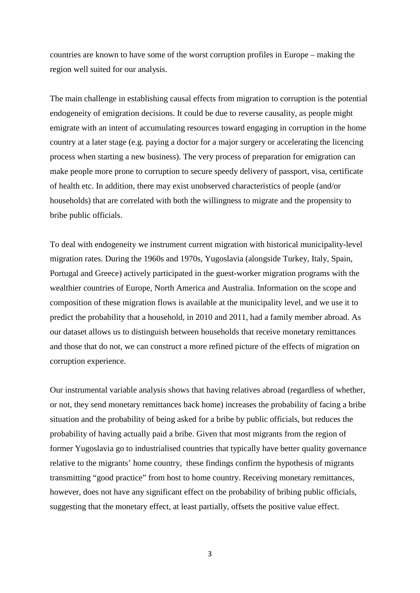countries are known to have some of the worst corruption profiles in Europe – making the region well suited for our analysis.

The main challenge in establishing causal effects from migration to corruption is the potential endogeneity of emigration decisions. It could be due to reverse causality, as people might emigrate with an intent of accumulating resources toward engaging in corruption in the home country at a later stage (e.g. paying a doctor for a major surgery or accelerating the licencing process when starting a new business). The very process of preparation for emigration can make people more prone to corruption to secure speedy delivery of passport, visa, certificate of health etc. In addition, there may exist unobserved characteristics of people (and/or households) that are correlated with both the willingness to migrate and the propensity to bribe public officials.

To deal with endogeneity we instrument current migration with historical municipality-level migration rates. During the 1960s and 1970s, Yugoslavia (alongside Turkey, Italy, Spain, Portugal and Greece) actively participated in the guest-worker migration programs with the wealthier countries of Europe, North America and Australia. Information on the scope and composition of these migration flows is available at the municipality level, and we use it to predict the probability that a household, in 2010 and 2011, had a family member abroad. As our dataset allows us to distinguish between households that receive monetary remittances and those that do not, we can construct a more refined picture of the effects of migration on corruption experience.

Our instrumental variable analysis shows that having relatives abroad (regardless of whether, or not, they send monetary remittances back home) increases the probability of facing a bribe situation and the probability of being asked for a bribe by public officials, but reduces the probability of having actually paid a bribe. Given that most migrants from the region of former Yugoslavia go to industrialised countries that typically have better quality governance relative to the migrants' home country, these findings confirm the hypothesis of migrants transmitting "good practice" from host to home country. Receiving monetary remittances, however, does not have any significant effect on the probability of bribing public officials, suggesting that the monetary effect, at least partially, offsets the positive value effect.

3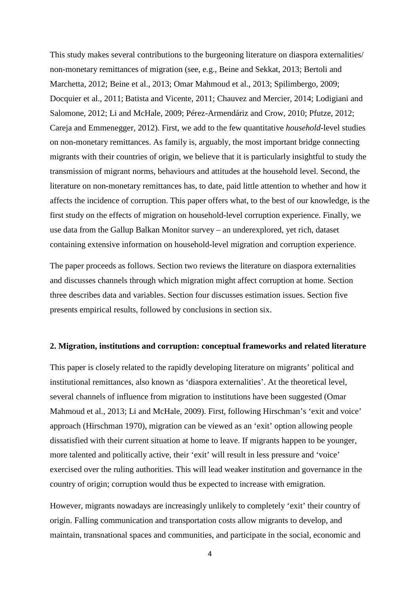This study makes several contributions to the burgeoning literature on diaspora externalities/ non-monetary remittances of migration (see, e.g., Beine and Sekkat, 2013; Bertoli and Marchetta, 2012; Beine et al., 2013; Omar Mahmoud et al., 2013; Spilimbergo, 2009; Docquier et al., 2011; Batista and Vicente, 2011; Chauvez and Mercier, 2014; Lodigiani and Salomone, 2012; Li and McHale, 2009; Pérez-Armendáriz and Crow, 2010; Pfutze, 2012; Careja and Emmenegger, 2012). First, we add to the few quantitative *household*-level studies on non-monetary remittances. As family is, arguably, the most important bridge connecting migrants with their countries of origin, we believe that it is particularly insightful to study the transmission of migrant norms, behaviours and attitudes at the household level. Second, the literature on non-monetary remittances has, to date, paid little attention to whether and how it affects the incidence of corruption. This paper offers what, to the best of our knowledge, is the first study on the effects of migration on household-level corruption experience. Finally, we use data from the Gallup Balkan Monitor survey – an underexplored, yet rich, dataset containing extensive information on household-level migration and corruption experience.

The paper proceeds as follows. Section two reviews the literature on diaspora externalities and discusses channels through which migration might affect corruption at home. Section three describes data and variables. Section four discusses estimation issues. Section five presents empirical results, followed by conclusions in section six.

#### **2. Migration, institutions and corruption: conceptual frameworks and related literature**

This paper is closely related to the rapidly developing literature on migrants' political and institutional remittances, also known as 'diaspora externalities'. At the theoretical level, several channels of influence from migration to institutions have been suggested (Omar Mahmoud et al., 2013; Li and McHale, 2009). First, following Hirschman's 'exit and voice' approach (Hirschman 1970), migration can be viewed as an 'exit' option allowing people dissatisfied with their current situation at home to leave. If migrants happen to be younger, more talented and politically active, their 'exit' will result in less pressure and 'voice' exercised over the ruling authorities. This will lead weaker institution and governance in the country of origin; corruption would thus be expected to increase with emigration.

However, migrants nowadays are increasingly unlikely to completely 'exit' their country of origin. Falling communication and transportation costs allow migrants to develop, and maintain, transnational spaces and communities, and participate in the social, economic and

4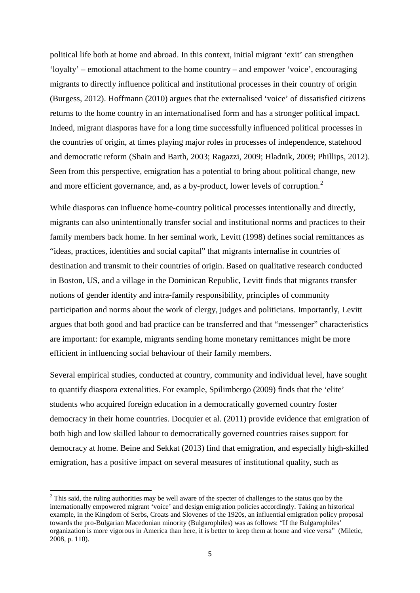political life both at home and abroad. In this context, initial migrant 'exit' can strengthen 'loyalty' – emotional attachment to the home country – and empower 'voice', encouraging migrants to directly influence political and institutional processes in their country of origin (Burgess, 2012). Hoffmann (2010) argues that the externalised 'voice' of dissatisfied citizens returns to the home country in an internationalised form and has a stronger political impact. Indeed, migrant diasporas have for a long time successfully influenced political processes in the countries of origin, at times playing major roles in processes of independence, statehood and democratic reform (Shain and Barth, 2003; Ragazzi, 2009; Hladnik, 2009; Phillips, 2012). Seen from this perspective, emigration has a potential to bring about political change, new and more efficient governance, and, as a by-product, lower levels of corruption.<sup>[2](#page-3-0)</sup>

While diasporas can influence home-country political processes intentionally and directly, migrants can also unintentionally transfer social and institutional norms and practices to their family members back home. In her seminal work, Levitt (1998) defines social remittances as "ideas, practices, identities and social capital" that migrants internalise in countries of destination and transmit to their countries of origin. Based on qualitative research conducted in Boston, US, and a village in the Dominican Republic, Levitt finds that migrants transfer notions of gender identity and intra-family responsibility, principles of community participation and norms about the work of clergy, judges and politicians. Importantly, Levitt argues that both good and bad practice can be transferred and that "messenger" characteristics are important: for example, migrants sending home monetary remittances might be more efficient in influencing social behaviour of their family members.

Several empirical studies, conducted at country, community and individual level, have sought to quantify diaspora extenalities. For example, Spilimbergo (2009) finds that the 'elite' students who acquired foreign education in a democratically governed country foster democracy in their home countries. Docquier et al. (2011) provide evidence that emigration of both high and low skilled labour to democratically governed countries raises support for democracy at home. Beine and Sekkat (2013) find that emigration, and especially high-skilled emigration, has a positive impact on several measures of institutional quality, such as

<span id="page-6-0"></span><sup>&</sup>lt;sup>2</sup> This said, the ruling authorities may be well aware of the specter of challenges to the status quo by the internationally empowered migrant 'voice' and design emigration policies accordingly. Taking an historical example, in the Kingdom of Serbs, Croats and Slovenes of the 1920s, an influential emigration policy proposal towards the pro-Bulgarian Macedonian minority (Bulgarophiles) was as follows: "If the Bulgarophiles' organization is more vigorous in America than here, it is better to keep them at home and vice versa" (Miletic, 2008, p. 110).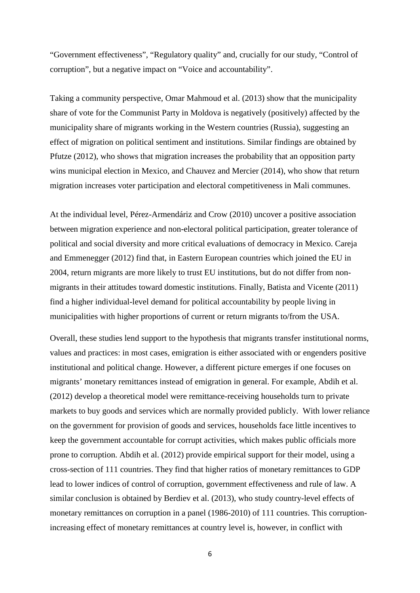"Government effectiveness", "Regulatory quality" and, crucially for our study, "Control of corruption", but a negative impact on "Voice and accountability".

Taking a community perspective, Omar Mahmoud et al. (2013) show that the municipality share of vote for the Communist Party in Moldova is negatively (positively) affected by the municipality share of migrants working in the Western countries (Russia), suggesting an effect of migration on political sentiment and institutions. Similar findings are obtained by Pfutze (2012), who shows that migration increases the probability that an opposition party wins municipal election in Mexico, and Chauvez and Mercier (2014), who show that return migration increases voter participation and electoral competitiveness in Mali communes.

At the individual level, Pérez-Armendáriz and Crow (2010) uncover a positive association between migration experience and non-electoral political participation, greater tolerance of political and social diversity and more critical evaluations of democracy in Mexico. Careja and Emmenegger (2012) find that, in Eastern European countries which joined the EU in 2004, return migrants are more likely to trust EU institutions, but do not differ from nonmigrants in their attitudes toward domestic institutions. Finally, Batista and Vicente (2011) find a higher individual-level demand for political accountability by people living in municipalities with higher proportions of current or return migrants to/from the USA.

Overall, these studies lend support to the hypothesis that migrants transfer institutional norms, values and practices: in most cases, emigration is either associated with or engenders positive institutional and political change. However, a different picture emerges if one focuses on migrants' monetary remittances instead of emigration in general. For example, Abdih et al. (2012) develop a theoretical model were remittance-receiving households turn to private markets to buy goods and services which are normally provided publicly. With lower reliance on the government for provision of goods and services, households face little incentives to keep the government accountable for corrupt activities, which makes public officials more prone to corruption. Abdih et al. (2012) provide empirical support for their model, using a cross-section of 111 countries. They find that higher ratios of monetary remittances to GDP lead to lower indices of control of corruption, government effectiveness and rule of law. A similar conclusion is obtained by Berdiev et al. (2013), who study country-level effects of monetary remittances on corruption in a panel (1986-2010) of 111 countries. This corruptionincreasing effect of monetary remittances at country level is, however, in conflict with

6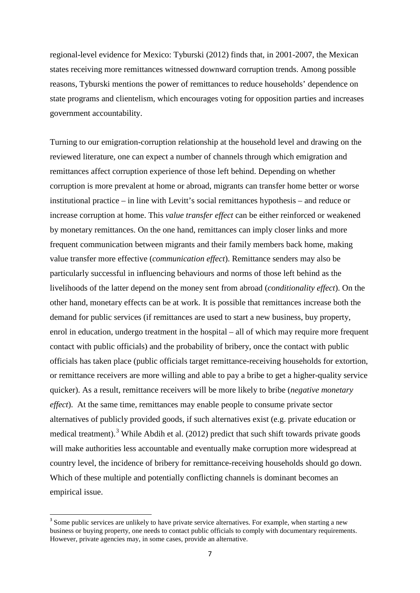regional-level evidence for Mexico: Tyburski (2012) finds that, in 2001-2007, the Mexican states receiving more remittances witnessed downward corruption trends. Among possible reasons, Tyburski mentions the power of remittances to reduce households' dependence on state programs and clientelism, which encourages voting for opposition parties and increases government accountability.

Turning to our emigration-corruption relationship at the household level and drawing on the reviewed literature, one can expect a number of channels through which emigration and remittances affect corruption experience of those left behind. Depending on whether corruption is more prevalent at home or abroad, migrants can transfer home better or worse institutional practice – in line with Levitt's social remittances hypothesis – and reduce or increase corruption at home. This *value transfer effect* can be either reinforced or weakened by monetary remittances. On the one hand, remittances can imply closer links and more frequent communication between migrants and their family members back home, making value transfer more effective (*communication effect*). Remittance senders may also be particularly successful in influencing behaviours and norms of those left behind as the livelihoods of the latter depend on the money sent from abroad (*conditionality effect*). On the other hand, monetary effects can be at work. It is possible that remittances increase both the demand for public services (if remittances are used to start a new business, buy property, enrol in education, undergo treatment in the hospital – all of which may require more frequent contact with public officials) and the probability of bribery, once the contact with public officials has taken place (public officials target remittance-receiving households for extortion, or remittance receivers are more willing and able to pay a bribe to get a higher-quality service quicker). As a result, remittance receivers will be more likely to bribe (*negative monetary effect*). At the same time, remittances may enable people to consume private sector alternatives of publicly provided goods, if such alternatives exist (e.g. private education or medical treatment).<sup>[3](#page-6-0)</sup> While Abdih et al. (2012) predict that such shift towards private goods will make authorities less accountable and eventually make corruption more widespread at country level, the incidence of bribery for remittance-receiving households should go down. Which of these multiple and potentially conflicting channels is dominant becomes an empirical issue.

<span id="page-8-0"></span><sup>&</sup>lt;sup>3</sup> Some public services are unlikely to have private service alternatives. For example, when starting a new business or buying property, one needs to contact public officials to comply with documentary requirements. However, private agencies may, in some cases, provide an alternative.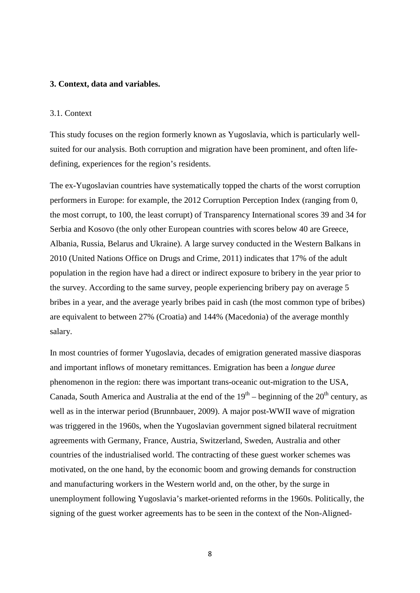#### **3. Context, data and variables.**

#### 3.1. Context

This study focuses on the region formerly known as Yugoslavia, which is particularly wellsuited for our analysis. Both corruption and migration have been prominent, and often lifedefining, experiences for the region's residents.

The ex-Yugoslavian countries have systematically topped the charts of the worst corruption performers in Europe: for example, the 2012 Corruption Perception Index (ranging from 0, the most corrupt, to 100, the least corrupt) of Transparency International scores 39 and 34 for Serbia and Kosovo (the only other European countries with scores below 40 are Greece, Albania, Russia, Belarus and Ukraine). A large survey conducted in the Western Balkans in 2010 (United Nations Office on Drugs and Crime, 2011) indicates that 17% of the adult population in the region have had a direct or indirect exposure to bribery in the year prior to the survey. According to the same survey, people experiencing bribery pay on average 5 bribes in a year, and the average yearly bribes paid in cash (the most common type of bribes) are equivalent to between 27% (Croatia) and 144% (Macedonia) of the average monthly salary.

<span id="page-9-0"></span>In most countries of former Yugoslavia, decades of emigration generated massive diasporas and important inflows of monetary remittances. Emigration has been a *longue duree* phenomenon in the region: there was important trans-oceanic out-migration to the USA, Canada, South America and Australia at the end of the  $19<sup>th</sup>$  – beginning of the  $20<sup>th</sup>$  century, as well as in the interwar period (Brunnbauer, 2009). A major post-WWII wave of migration was triggered in the 1960s, when the Yugoslavian government signed bilateral recruitment agreements with Germany, France, Austria, Switzerland, Sweden, Australia and other countries of the industrialised world. The contracting of these guest worker schemes was motivated, on the one hand, by the economic boom and growing demands for construction and manufacturing workers in the Western world and, on the other, by the surge in unemployment following Yugoslavia's market-oriented reforms in the 1960s. Politically, the signing of the guest worker agreements has to be seen in the context of the Non-Aligned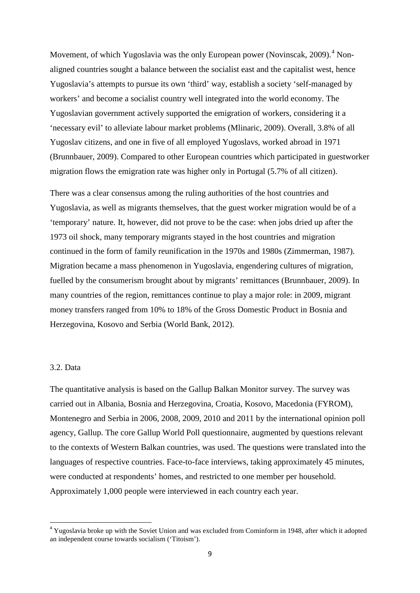Movement, of which Yugoslavia was the only European power (Novinscak, 2009).<sup>[4](#page-8-0)</sup> Nonaligned countries sought a balance between the socialist east and the capitalist west, hence Yugoslavia's attempts to pursue its own 'third' way, establish a society 'self-managed by workers' and become a socialist country well integrated into the world economy. The Yugoslavian government actively supported the emigration of workers, considering it a 'necessary evil' to alleviate labour market problems (Mlinaric, 2009). Overall, 3.8% of all Yugoslav citizens, and one in five of all employed Yugoslavs, worked abroad in 1971 (Brunnbauer, 2009). Compared to other European countries which participated in guestworker migration flows the emigration rate was higher only in Portugal (5.7% of all citizen).

There was a clear consensus among the ruling authorities of the host countries and Yugoslavia, as well as migrants themselves, that the guest worker migration would be of a 'temporary' nature. It, however, did not prove to be the case: when jobs dried up after the 1973 oil shock, many temporary migrants stayed in the host countries and migration continued in the form of family reunification in the 1970s and 1980s (Zimmerman, 1987). Migration became a mass phenomenon in Yugoslavia, engendering cultures of migration, fuelled by the consumerism brought about by migrants' remittances (Brunnbauer, 2009). In many countries of the region, remittances continue to play a major role: in 2009, migrant money transfers ranged from 10% to 18% of the Gross Domestic Product in Bosnia and Herzegovina, Kosovo and Serbia (World Bank, 2012).

#### 3.2. Data

The quantitative analysis is based on the Gallup Balkan Monitor survey. The survey was carried out in Albania, Bosnia and Herzegovina, Croatia, Kosovo, Macedonia (FYROM), Montenegro and Serbia in 2006, 2008, 2009, 2010 and 2011 by the international opinion poll agency, Gallup. The core Gallup World Poll questionnaire, augmented by questions relevant to the contexts of Western Balkan countries, was used. The questions were translated into the languages of respective countries. Face-to-face interviews, taking approximately 45 minutes, were conducted at respondents' homes, and restricted to one member per household. Approximately 1,000 people were interviewed in each country each year.

<span id="page-10-0"></span><sup>&</sup>lt;sup>4</sup> Yugoslavia broke up with the Soviet Union and was excluded from Cominform in 1948, after which it adopted an independent course towards socialism ('Titoism').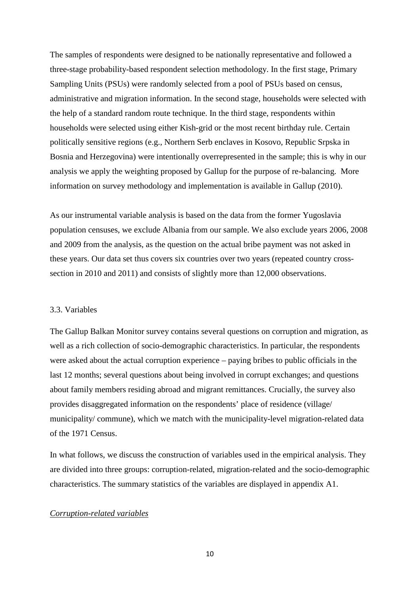The samples of respondents were designed to be nationally representative and followed a three-stage probability-based respondent selection methodology. In the first stage, Primary Sampling Units (PSUs) were randomly selected from a pool of PSUs based on census, administrative and migration information. In the second stage, households were selected with the help of a standard random route technique. In the third stage, respondents within households were selected using either Kish-grid or the most recent birthday rule. Certain politically sensitive regions (e.g., Northern Serb enclaves in Kosovo, Republic Srpska in Bosnia and Herzegovina) were intentionally overrepresented in the sample; this is why in our analysis we apply the weighting proposed by Gallup for the purpose of re-balancing. More information on survey methodology and implementation is available in Gallup (2010).

As our instrumental variable analysis is based on the data from the former Yugoslavia population censuses, we exclude Albania from our sample. We also exclude years 2006, 2008 and 2009 from the analysis, as the question on the actual bribe payment was not asked in these years. Our data set thus covers six countries over two years (repeated country crosssection in 2010 and 2011) and consists of slightly more than 12,000 observations.

#### 3.3. Variables

The Gallup Balkan Monitor survey contains several questions on corruption and migration, as well as a rich collection of socio-demographic characteristics. In particular, the respondents were asked about the actual corruption experience – paying bribes to public officials in the last 12 months; several questions about being involved in corrupt exchanges; and questions about family members residing abroad and migrant remittances. Crucially, the survey also provides disaggregated information on the respondents' place of residence (village/ municipality/ commune), which we match with the municipality-level migration-related data of the 1971 Census.

In what follows, we discuss the construction of variables used in the empirical analysis. They are divided into three groups: corruption-related, migration-related and the socio-demographic characteristics. The summary statistics of the variables are displayed in appendix A1.

#### *Corruption-related variables*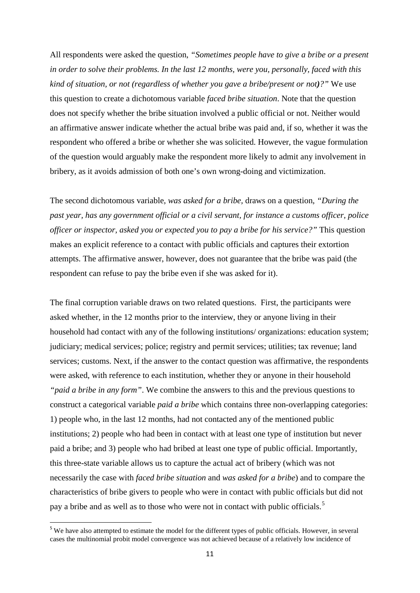All respondents were asked the question, *"Sometimes people have to give a bribe or a present in order to solve their problems. In the last 12 months, were you, personally, faced with this kind of situation, or not (regardless of whether you gave a bribe/present or not)?"* We use this question to create a dichotomous variable *faced bribe situation*. Note that the question does not specify whether the bribe situation involved a public official or not. Neither would an affirmative answer indicate whether the actual bribe was paid and, if so, whether it was the respondent who offered a bribe or whether she was solicited. However, the vague formulation of the question would arguably make the respondent more likely to admit any involvement in bribery, as it avoids admission of both one's own wrong-doing and victimization.

The second dichotomous variable, *was asked for a bribe,* draws on a question, *"During the past year, has any government official or a civil servant, for instance a customs officer, police officer or inspector, asked you or expected you to pay a bribe for his service?"* This question makes an explicit reference to a contact with public officials and captures their extortion attempts. The affirmative answer, however, does not guarantee that the bribe was paid (the respondent can refuse to pay the bribe even if she was asked for it).

The final corruption variable draws on two related questions. First, the participants were asked whether, in the 12 months prior to the interview, they or anyone living in their household had contact with any of the following institutions/ organizations: education system; judiciary; medical services; police; registry and permit services; utilities; tax revenue; land services; customs. Next, if the answer to the contact question was affirmative, the respondents were asked, with reference to each institution, whether they or anyone in their household *"paid a bribe in any form"*. We combine the answers to this and the previous questions to construct a categorical variable *paid a bribe* which contains three non-overlapping categories: 1) people who, in the last 12 months, had not contacted any of the mentioned public institutions; 2) people who had been in contact with at least one type of institution but never paid a bribe; and 3) people who had bribed at least one type of public official. Importantly, this three-state variable allows us to capture the actual act of bribery (which was not necessarily the case with *faced bribe situation* and *was asked for a bribe*) and to compare the characteristics of bribe givers to people who were in contact with public officials but did not pay a bribe and as well as to those who were not in contact with public officials.<sup>[5](#page-10-0)</sup>

<span id="page-12-0"></span><sup>&</sup>lt;sup>5</sup> We have also attempted to estimate the model for the different types of public officials. However, in several cases the multinomial probit model convergence was not achieved because of a relatively low incidence of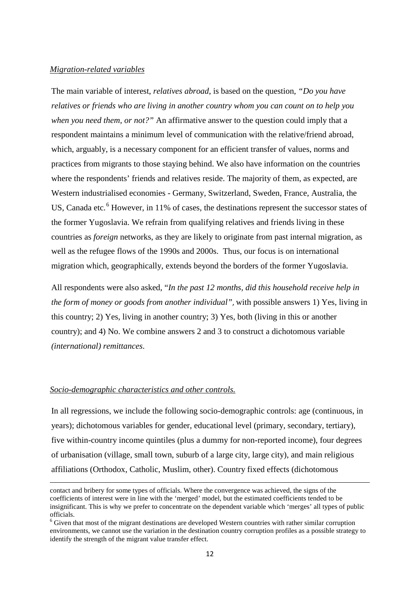#### *Migration-related variables*

The main variable of interest, *relatives abroad*, is based on the question, *"Do you have relatives or friends who are living in another country whom you can count on to help you when you need them, or not?"* An affirmative answer to the question could imply that a respondent maintains a minimum level of communication with the relative/friend abroad, which, arguably, is a necessary component for an efficient transfer of values, norms and practices from migrants to those staying behind. We also have information on the countries where the respondents' friends and relatives reside. The majority of them, as expected, are Western industrialised economies - Germany, Switzerland, Sweden, France, Australia, the US, Canada etc.<sup>[6](#page-12-0)</sup> However, in 11% of cases, the destinations represent the successor states of the former Yugoslavia. We refrain from qualifying relatives and friends living in these countries as *foreign* networks, as they are likely to originate from past internal migration, as well as the refugee flows of the 1990s and 2000s. Thus, our focus is on international migration which, geographically, extends beyond the borders of the former Yugoslavia.

All respondents were also asked, "*In the past 12 months, did this household receive help in the form of money or goods from another individual"*, with possible answers 1) Yes, living in this country; 2) Yes, living in another country; 3) Yes, both (living in this or another country); and 4) No. We combine answers 2 and 3 to construct a dichotomous variable *(international) remittances*.

#### *Socio-demographic characteristics and other controls.*

 $\overline{a}$ 

In all regressions, we include the following socio-demographic controls: age (continuous, in years); dichotomous variables for gender, educational level (primary, secondary, tertiary), five within-country income quintiles (plus a dummy for non-reported income), four degrees of urbanisation (village, small town, suburb of a large city, large city), and main religious affiliations (Orthodox, Catholic, Muslim, other). Country fixed effects (dichotomous

contact and bribery for some types of officials. Where the convergence was achieved, the signs of the coefficients of interest were in line with the 'merged' model, but the estimated coefficients tended to be insignificant. This is why we prefer to concentrate on the dependent variable which 'merges' all types of public officials.

<span id="page-13-0"></span> $6$  Given that most of the migrant destinations are developed Western countries with rather similar corruption environments, we cannot use the variation in the destination country corruption profiles as a possible strategy to identify the strength of the migrant value transfer effect.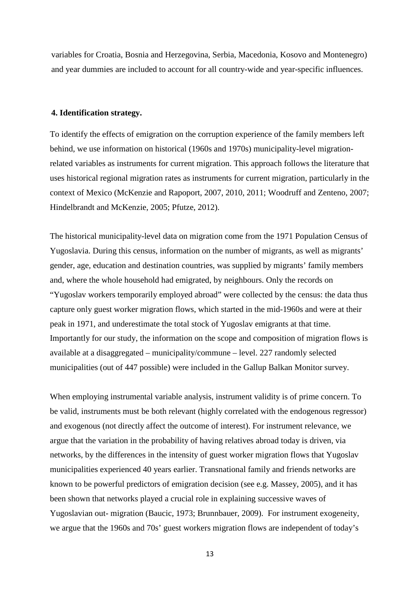variables for Croatia, Bosnia and Herzegovina, Serbia, Macedonia, Kosovo and Montenegro) and year dummies are included to account for all country-wide and year-specific influences.

#### **4. Identification strategy.**

To identify the effects of emigration on the corruption experience of the family members left behind, we use information on historical (1960s and 1970s) municipality-level migrationrelated variables as instruments for current migration. This approach follows the literature that uses historical regional migration rates as instruments for current migration, particularly in the context of Mexico (McKenzie and Rapoport, 2007, 2010, 2011; Woodruff and Zenteno, 2007; Hindelbrandt and McKenzie, 2005; Pfutze, 2012).

The historical municipality-level data on migration come from the 1971 Population Census of Yugoslavia. During this census, information on the number of migrants, as well as migrants' gender, age, education and destination countries, was supplied by migrants' family members and, where the whole household had emigrated, by neighbours. Only the records on "Yugoslav workers temporarily employed abroad" were collected by the census: the data thus capture only guest worker migration flows, which started in the mid-1960s and were at their peak in 1971, and underestimate the total stock of Yugoslav emigrants at that time. Importantly for our study, the information on the scope and composition of migration flows is available at a disaggregated – municipality/commune – level. 227 randomly selected municipalities (out of 447 possible) were included in the Gallup Balkan Monitor survey.

When employing instrumental variable analysis, instrument validity is of prime concern. To be valid, instruments must be both relevant (highly correlated with the endogenous regressor) and exogenous (not directly affect the outcome of interest). For instrument relevance, we argue that the variation in the probability of having relatives abroad today is driven, via networks, by the differences in the intensity of guest worker migration flows that Yugoslav municipalities experienced 40 years earlier. Transnational family and friends networks are known to be powerful predictors of emigration decision (see e.g. Massey, 2005), and it has been shown that networks played a crucial role in explaining successive waves of Yugoslavian out- migration (Baucic, 1973; Brunnbauer, 2009). For instrument exogeneity, we argue that the 1960s and 70s' guest workers migration flows are independent of today's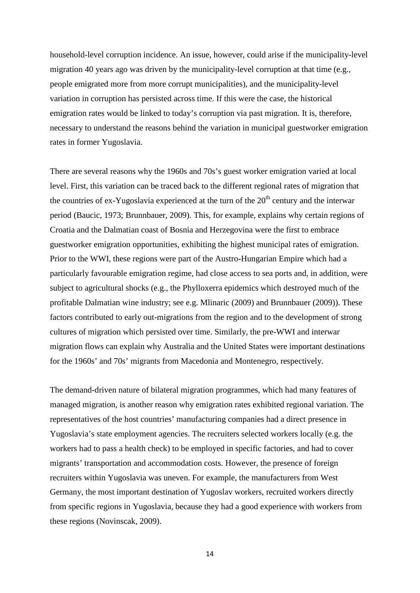household-level corruption incidence. An issue, however, could arise if the municipality-level migration 40 years ago was driven by the municipality-level corruption at that time (e.g., people emigrated more from more corrupt municipalities), and the municipality-level variation in corruption has persisted across time. If this were the case, the historical emigration rates would be linked to today's corruption via past migration. It is, therefore, necessary to understand the reasons behind the variation in municipal guestworker emigration rates in former Yugoslavia.

There are several reasons why the 1960s and 70s's guest worker emigration varied at local level. First, this variation can be traced back to the different regional rates of migration that the countries of ex-Yugoslavia experienced at the turn of the  $20<sup>th</sup>$  century and the interwar period (Baucic, 1973; Brunnbauer, 2009). This, for example, explains why certain regions of Croatia and the Dalmatian coast of Bosnia and Herzegovina were the first to embrace guestworker emigration opportunities, exhibiting the highest municipal rates of emigration. Prior to the WWI, these regions were part of the Austro-Hungarian Empire which had a particularly favourable emigration regime, had close access to sea ports and, in addition, were subject to agricultural shocks (e.g., the Phylloxerra epidemics which destroyed much of the profitable Dalmatian wine industry; see e.g. Mlinaric (2009) and Brunnbauer (2009)). These factors contributed to early out-migrations from the region and to the development of strong cultures of migration which persisted over time. Similarly, the pre-WWI and interwar migration flows can explain why Australia and the United States were important destinations for the 1960s' and 70s' migrants from Macedonia and Montenegro, respectively.

The demand-driven nature of bilateral migration programmes, which had many features of managed migration, is another reason why emigration rates exhibited regional variation. The representatives of the host countries' manufacturing companies had a direct presence in Yugoslavia's state employment agencies. The recruiters selected workers locally (e.g. the workers had to pass a health check) to be employed in specific factories, and had to cover migrants' transportation and accommodation costs. However, the presence of foreign recruiters within Yugoslavia was uneven. For example, the manufacturers from West Germany, the most important destination of Yugoslav workers, recruited workers directly from specific regions in Yugoslavia, because they had a good experience with workers from these regions (Novinscak, 2009).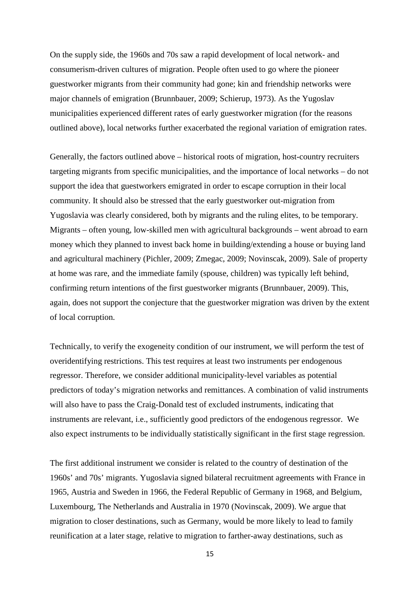On the supply side, the 1960s and 70s saw a rapid development of local network- and consumerism-driven cultures of migration. People often used to go where the pioneer guestworker migrants from their community had gone; kin and friendship networks were major channels of emigration (Brunnbauer, 2009; Schierup, 1973). As the Yugoslav municipalities experienced different rates of early guestworker migration (for the reasons outlined above), local networks further exacerbated the regional variation of emigration rates.

Generally, the factors outlined above – historical roots of migration, host-country recruiters targeting migrants from specific municipalities, and the importance of local networks – do not support the idea that guestworkers emigrated in order to escape corruption in their local community. It should also be stressed that the early guestworker out-migration from Yugoslavia was clearly considered, both by migrants and the ruling elites, to be temporary. Migrants – often young, low-skilled men with agricultural backgrounds – went abroad to earn money which they planned to invest back home in building/extending a house or buying land and agricultural machinery (Pichler, 2009; Zmegac, 2009; Novinscak, 2009). Sale of property at home was rare, and the immediate family (spouse, children) was typically left behind, confirming return intentions of the first guestworker migrants (Brunnbauer, 2009). This, again, does not support the conjecture that the guestworker migration was driven by the extent of local corruption.

Technically, to verify the exogeneity condition of our instrument, we will perform the test of overidentifying restrictions. This test requires at least two instruments per endogenous regressor. Therefore, we consider additional municipality-level variables as potential predictors of today's migration networks and remittances. A combination of valid instruments will also have to pass the Craig-Donald test of excluded instruments, indicating that instruments are relevant, i.e., sufficiently good predictors of the endogenous regressor. We also expect instruments to be individually statistically significant in the first stage regression.

The first additional instrument we consider is related to the country of destination of the 1960s' and 70s' migrants. Yugoslavia signed bilateral recruitment agreements with France in 1965, Austria and Sweden in 1966, the Federal Republic of Germany in 1968, and Belgium, Luxembourg, The Netherlands and Australia in 1970 (Novinscak, 2009). We argue that migration to closer destinations, such as Germany, would be more likely to lead to family reunification at a later stage, relative to migration to farther-away destinations, such as

15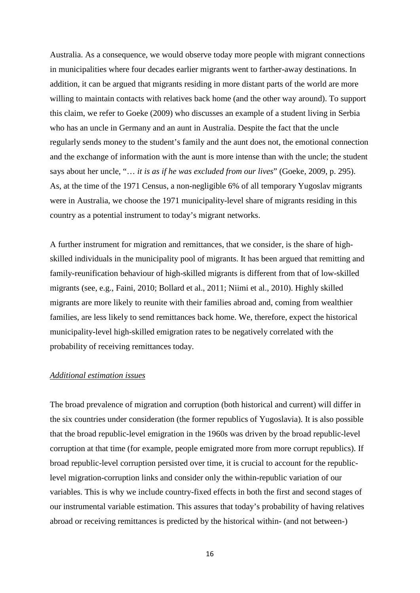Australia. As a consequence, we would observe today more people with migrant connections in municipalities where four decades earlier migrants went to farther-away destinations. In addition, it can be argued that migrants residing in more distant parts of the world are more willing to maintain contacts with relatives back home (and the other way around). To support this claim, we refer to Goeke (2009) who discusses an example of a student living in Serbia who has an uncle in Germany and an aunt in Australia. Despite the fact that the uncle regularly sends money to the student's family and the aunt does not, the emotional connection and the exchange of information with the aunt is more intense than with the uncle; the student says about her uncle, "… *it is as if he was excluded from our lives*" (Goeke, 2009, p. 295). As, at the time of the 1971 Census, a non-negligible 6% of all temporary Yugoslav migrants were in Australia, we choose the 1971 municipality-level share of migrants residing in this country as a potential instrument to today's migrant networks.

A further instrument for migration and remittances, that we consider, is the share of highskilled individuals in the municipality pool of migrants. It has been argued that remitting and family-reunification behaviour of high-skilled migrants is different from that of low-skilled migrants (see, e.g., Faini, 2010; Bollard et al., 2011; Niimi et al., 2010). Highly skilled migrants are more likely to reunite with their families abroad and, coming from wealthier families, are less likely to send remittances back home. We, therefore, expect the historical municipality-level high-skilled emigration rates to be negatively correlated with the probability of receiving remittances today.

#### *Additional estimation issues*

The broad prevalence of migration and corruption (both historical and current) will differ in the six countries under consideration (the former republics of Yugoslavia). It is also possible that the broad republic-level emigration in the 1960s was driven by the broad republic-level corruption at that time (for example, people emigrated more from more corrupt republics). If broad republic-level corruption persisted over time, it is crucial to account for the republiclevel migration-corruption links and consider only the within-republic variation of our variables. This is why we include country-fixed effects in both the first and second stages of our instrumental variable estimation. This assures that today's probability of having relatives abroad or receiving remittances is predicted by the historical within- (and not between-)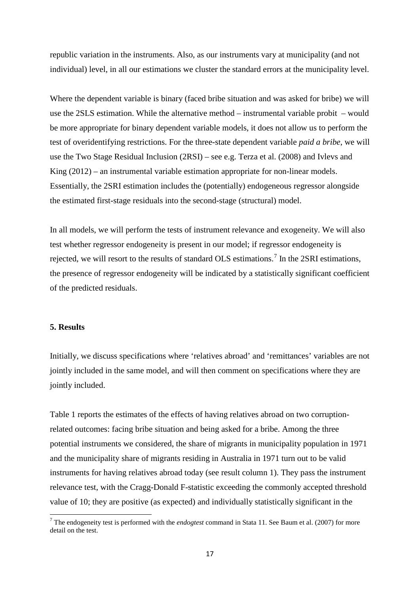republic variation in the instruments. Also, as our instruments vary at municipality (and not individual) level, in all our estimations we cluster the standard errors at the municipality level.

Where the dependent variable is binary (faced bribe situation and was asked for bribe) we will use the 2SLS estimation. While the alternative method – instrumental variable probit – would be more appropriate for binary dependent variable models, it does not allow us to perform the test of overidentifying restrictions. For the three-state dependent variable *paid a bribe*, we will use the Two Stage Residual Inclusion (2RSI) – see e.g. Terza et al. (2008) and Ivlevs and King  $(2012)$  – an instrumental variable estimation appropriate for non-linear models. Essentially, the 2SRI estimation includes the (potentially) endogeneous regressor alongside the estimated first-stage residuals into the second-stage (structural) model.

In all models, we will perform the tests of instrument relevance and exogeneity. We will also test whether regressor endogeneity is present in our model; if regressor endogeneity is rejected, we will resort to the results of standard OLS estimations.<sup>[7](#page-13-0)</sup> In the 2SRI estimations, the presence of regressor endogeneity will be indicated by a statistically significant coefficient of the predicted residuals.

#### **5. Results**

Initially, we discuss specifications where 'relatives abroad' and 'remittances' variables are not jointly included in the same model, and will then comment on specifications where they are jointly included.

Table 1 reports the estimates of the effects of having relatives abroad on two corruptionrelated outcomes: facing bribe situation and being asked for a bribe. Among the three potential instruments we considered, the share of migrants in municipality population in 1971 and the municipality share of migrants residing in Australia in 1971 turn out to be valid instruments for having relatives abroad today (see result column 1). They pass the instrument relevance test, with the Cragg-Donald F-statistic exceeding the commonly accepted threshold value of 10; they are positive (as expected) and individually statistically significant in the

<span id="page-18-0"></span><sup>7</sup> The endogeneity test is performed with the *endogtest* command in Stata 11. See Baum et al. (2007) for more detail on the test.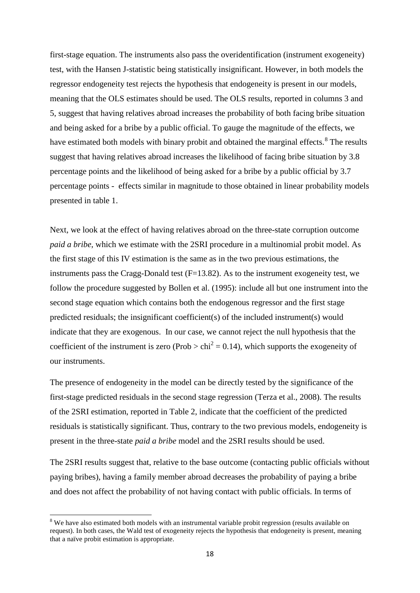first-stage equation. The instruments also pass the overidentification (instrument exogeneity) test, with the Hansen J-statistic being statistically insignificant. However, in both models the regressor endogeneity test rejects the hypothesis that endogeneity is present in our models, meaning that the OLS estimates should be used. The OLS results, reported in columns 3 and 5, suggest that having relatives abroad increases the probability of both facing bribe situation and being asked for a bribe by a public official. To gauge the magnitude of the effects, we have estimated both models with binary probit and obtained the marginal effects.<sup>[8](#page-18-0)</sup> The results suggest that having relatives abroad increases the likelihood of facing bribe situation by 3.8 percentage points and the likelihood of being asked for a bribe by a public official by 3.7 percentage points - effects similar in magnitude to those obtained in linear probability models presented in table 1.

Next, we look at the effect of having relatives abroad on the three-state corruption outcome *paid a bribe*, which we estimate with the 2SRI procedure in a multinomial probit model. As the first stage of this IV estimation is the same as in the two previous estimations, the instruments pass the Cragg-Donald test  $(F=13.82)$ . As to the instrument exogeneity test, we follow the procedure suggested by Bollen et al. (1995): include all but one instrument into the second stage equation which contains both the endogenous regressor and the first stage predicted residuals; the insignificant coefficient(s) of the included instrument(s) would indicate that they are exogenous. In our case, we cannot reject the null hypothesis that the coefficient of the instrument is zero (Prob  $>$  chi<sup>2</sup> = 0.14), which supports the exogeneity of our instruments.

The presence of endogeneity in the model can be directly tested by the significance of the first-stage predicted residuals in the second stage regression (Terza et al., 2008). The results of the 2SRI estimation, reported in Table 2, indicate that the coefficient of the predicted residuals is statistically significant. Thus, contrary to the two previous models, endogeneity is present in the three-state *paid a bribe* model and the 2SRI results should be used.

The 2SRI results suggest that, relative to the base outcome (contacting public officials without paying bribes), having a family member abroad decreases the probability of paying a bribe and does not affect the probability of not having contact with public officials. In terms of

<span id="page-19-0"></span><sup>&</sup>lt;sup>8</sup> We have also estimated both models with an instrumental variable probit regression (results available on request). In both cases, the Wald test of exogeneity rejects the hypothesis that endogeneity is present, meaning that a naïve probit estimation is appropriate.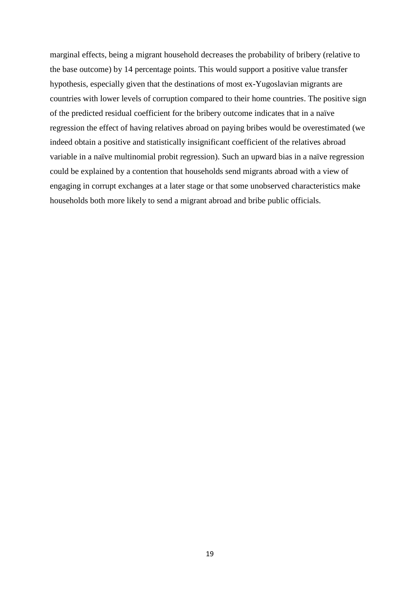marginal effects, being a migrant household decreases the probability of bribery (relative to the base outcome) by 14 percentage points. This would support a positive value transfer hypothesis, especially given that the destinations of most ex-Yugoslavian migrants are countries with lower levels of corruption compared to their home countries. The positive sign of the predicted residual coefficient for the bribery outcome indicates that in a naïve regression the effect of having relatives abroad on paying bribes would be overestimated (we indeed obtain a positive and statistically insignificant coefficient of the relatives abroad variable in a naïve multinomial probit regression). Such an upward bias in a naïve regression could be explained by a contention that households send migrants abroad with a view of engaging in corrupt exchanges at a later stage or that some unobserved characteristics make households both more likely to send a migrant abroad and bribe public officials.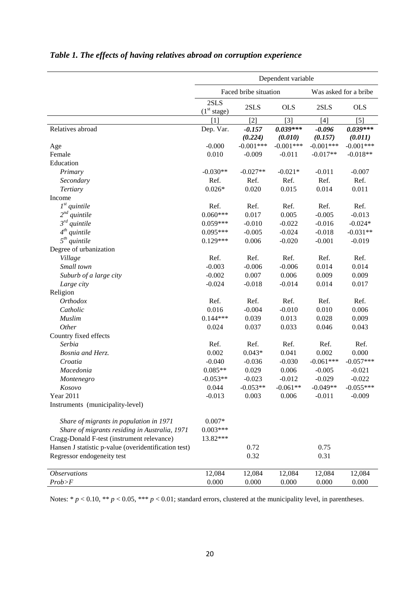|                                                      | Dependent variable              |                       |             |             |                       |
|------------------------------------------------------|---------------------------------|-----------------------|-------------|-------------|-----------------------|
|                                                      |                                 | Faced bribe situation |             |             | Was asked for a bribe |
|                                                      | 2SLS<br>(1 <sup>st</sup> stage) | 2SLS                  | <b>OLS</b>  | 2SLS        | <b>OLS</b>            |
|                                                      | [1]                             | $[2]$                 | $[3]$       | $[4]$       | $[5]$                 |
| Relatives abroad                                     | Dep. Var.                       | $-0.157$              | $0.039***$  | $-0.096$    | $0.039***$            |
|                                                      |                                 | (0.224)               | (0.010)     | (0.157)     | (0.011)               |
| Age                                                  | $-0.000$                        | $-0.001***$           | $-0.001***$ | $-0.001***$ | $-0.001***$           |
| Female                                               | 0.010                           | $-0.009$              | $-0.011$    | $-0.017**$  | $-0.018**$            |
| Education                                            |                                 |                       |             |             |                       |
| Primary                                              | $-0.030**$                      | $-0.027**$            | $-0.021*$   | $-0.011$    | $-0.007$              |
| Secondary                                            | Ref.                            | Ref.                  | Ref.        | Ref.        | Ref.                  |
| Tertiary                                             | $0.026*$                        | 0.020                 | 0.015       | 0.014       | 0.011                 |
| Income                                               |                                 |                       |             |             |                       |
| $1st$ quintile                                       | Ref.                            | Ref.                  | Ref.        | Ref.        | Ref.                  |
| $2^{nd}$<br>quintile                                 | $0.060***$                      | 0.017                 | 0.005       | $-0.005$    | $-0.013$              |
| $\mathfrak{Z}^{rd}$ quintile                         | $0.059***$                      | $-0.010$              | $-0.022$    | $-0.016$    | $-0.024*$             |
| $4^{th}$ quintile                                    | $0.095***$                      | $-0.005$              | $-0.024$    | $-0.018$    | $-0.031**$            |
| $5th$ quintile                                       | $0.129***$                      | 0.006                 | $-0.020$    | $-0.001$    | $-0.019$              |
| Degree of urbanization                               |                                 |                       |             |             |                       |
| Village                                              | Ref.                            | Ref.                  | Ref.        | Ref.        | Ref.                  |
| Small town                                           | $-0.003$                        | $-0.006$              | $-0.006$    | 0.014       | 0.014                 |
| Suburb of a large city                               | $-0.002$                        | 0.007                 | 0.006       | 0.009       | 0.009                 |
| Large city                                           | $-0.024$                        | $-0.018$              | $-0.014$    | 0.014       | 0.017                 |
| Religion                                             |                                 |                       |             |             |                       |
| <b>Orthodox</b>                                      | Ref.                            | Ref.                  | Ref.        | Ref.        | Ref.                  |
| Catholic                                             | 0.016                           | $-0.004$              | $-0.010$    | 0.010       | 0.006                 |
| Muslim                                               | $0.144***$                      | 0.039                 | 0.013       | 0.028       | 0.009                 |
| Other                                                | 0.024                           | 0.037                 | 0.033       | 0.046       | 0.043                 |
| Country fixed effects                                |                                 |                       |             |             |                       |
| Serbia                                               | Ref.                            | Ref.                  | Ref.        | Ref.        | Ref.                  |
| Bosnia and Herz.                                     | 0.002                           | $0.043*$              | 0.041       | 0.002       | 0.000                 |
| Croatia                                              | $-0.040$                        | $-0.036$              | $-0.030$    | $-0.061***$ | $-0.057***$           |
| Macedonia                                            | $0.085**$                       | 0.029                 | 0.006       | $-0.005$    | $-0.021$              |
| Montenegro                                           | $-0.053**$                      | $-0.023$              | $-0.012$    | $-0.029$    | $-0.022$              |
| Kosovo                                               | 0.044                           | $-0.053**$            | $-0.061**$  | $-0.049**$  | $-0.055***$           |
| Year 2011                                            | $-0.013$                        | 0.003                 | 0.006       | $-0.011$    | $-0.009$              |
| Instruments (municipality-level)                     |                                 |                       |             |             |                       |
|                                                      |                                 |                       |             |             |                       |
| Share of migrants in population in 1971              | $0.007*$                        |                       |             |             |                       |
| Share of migrants residing in Australia, 1971        | $0.003***$                      |                       |             |             |                       |
| Cragg-Donald F-test (instrument relevance)           | 13.82***                        |                       |             |             |                       |
| Hansen J statistic p-value (overidentification test) |                                 | 0.72                  |             | 0.75        |                       |
| Regressor endogeneity test                           |                                 | 0.32                  |             | 0.31        |                       |
| <b>Observations</b>                                  | 12,084                          | 12,084                | 12,084      | 12,084      | 12,084                |
| Prob>F                                               | 0.000                           | 0.000                 | 0.000       | 0.000       | 0.000                 |

### *Table 1. The effects of having relatives abroad on corruption experience*

Notes:  $* p < 0.10, ** p < 0.05, *** p < 0.01$ ; standard errors, clustered at the municipality level, in parentheses.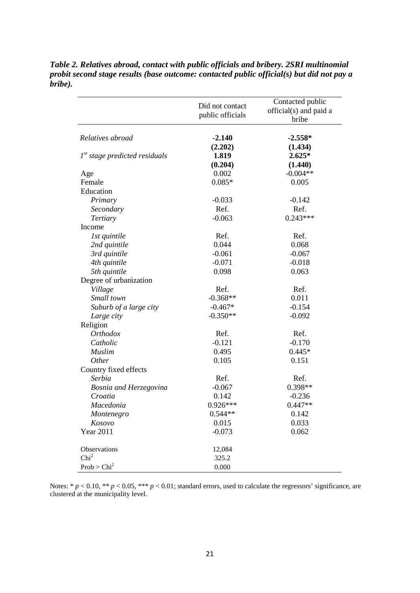|                                 | Did not contact<br>public officials | Contacted public<br>official(s) and paid a<br>bribe |
|---------------------------------|-------------------------------------|-----------------------------------------------------|
|                                 |                                     |                                                     |
| Relatives abroad                | $-2.140$                            | $-2.558*$                                           |
|                                 | (2.202)                             | (1.434)                                             |
| $1st$ stage predicted residuals | 1.819                               | $2.625*$                                            |
|                                 | (0.204)                             | (1.440)                                             |
| Age                             | 0.002                               | $-0.004**$                                          |
| Female                          | $0.085*$                            | 0.005                                               |
| Education                       |                                     |                                                     |
| Primary                         | $-0.033$                            | $-0.142$                                            |
| Secondary                       | Ref.                                | Ref.                                                |
| <b>Tertiary</b>                 | $-0.063$                            | $0.243***$                                          |
| Income                          |                                     |                                                     |
| 1st quintile                    | Ref.                                | Ref.                                                |
| 2nd quintile                    | 0.044                               | 0.068                                               |
| 3rd quintile                    | $-0.061$                            | $-0.067$                                            |
| 4th quintile                    | $-0.071$                            | $-0.018$                                            |
| 5th quintile                    | 0.098                               | 0.063                                               |
| Degree of urbanization          |                                     |                                                     |
| Village                         | Ref.                                | Ref.                                                |
| Small town                      | $-0.368**$                          | 0.011                                               |
| Suburb of a large city          | $-0.467*$                           | $-0.154$                                            |
| Large city                      | $-0.350**$                          | $-0.092$                                            |
| Religion                        |                                     |                                                     |
| <b>Orthodox</b>                 | Ref.                                | Ref.                                                |
| Catholic                        | $-0.121$                            | $-0.170$                                            |
| <b>Muslim</b>                   | 0.495                               | $0.445*$                                            |
| Other                           | 0.105                               | 0.151                                               |
| Country fixed effects           |                                     |                                                     |
| Serbia                          | Ref.                                | Ref.                                                |
| <b>Bosnia and Herzegovina</b>   | $-0.067$                            | 0.398**                                             |
| Croatia                         | 0.142                               | $-0.236$                                            |
| Macedonia                       | $0.926***$                          | $0.447**$                                           |
| Montenegro                      | $0.544**$                           | 0.142                                               |
| Kosovo                          | 0.015                               | 0.033                                               |
| <b>Year 2011</b>                | $-0.073$                            | 0.062                                               |
| Observations                    | 12,084                              |                                                     |
| Chi <sup>2</sup>                | 325.2                               |                                                     |
| Prob > Chi <sup>2</sup>         | 0.000                               |                                                     |

*Table 2. Relatives abroad, contact with public officials and bribery. 2SRI multinomial probit second stage results (base outcome: contacted public official(s) but did not pay a bribe).*

Notes:  $* p < 0.10$ ,  $** p < 0.05$ ,  $** p < 0.01$ ; standard errors, used to calculate the regressors' significance, are clustered at the municipality level.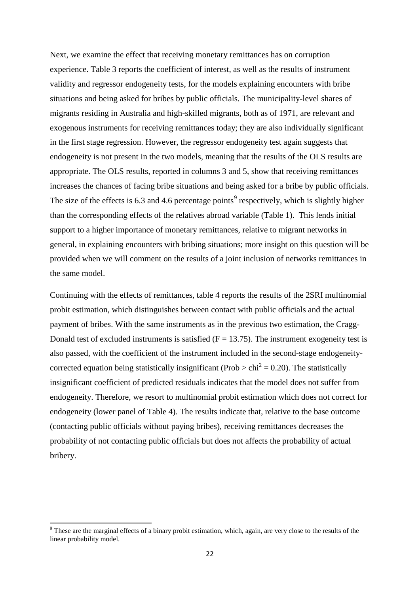Next, we examine the effect that receiving monetary remittances has on corruption experience. Table 3 reports the coefficient of interest, as well as the results of instrument validity and regressor endogeneity tests, for the models explaining encounters with bribe situations and being asked for bribes by public officials. The municipality-level shares of migrants residing in Australia and high-skilled migrants, both as of 1971, are relevant and exogenous instruments for receiving remittances today; they are also individually significant in the first stage regression. However, the regressor endogeneity test again suggests that endogeneity is not present in the two models, meaning that the results of the OLS results are appropriate. The OLS results, reported in columns 3 and 5, show that receiving remittances increases the chances of facing bribe situations and being asked for a bribe by public officials. The size of the effects is 6.3 and 4.6 percentage points<sup>[9](#page-19-0)</sup> respectively, which is slightly higher than the corresponding effects of the relatives abroad variable (Table 1). This lends initial support to a higher importance of monetary remittances, relative to migrant networks in general, in explaining encounters with bribing situations; more insight on this question will be provided when we will comment on the results of a joint inclusion of networks remittances in the same model.

Continuing with the effects of remittances, table 4 reports the results of the 2SRI multinomial probit estimation, which distinguishes between contact with public officials and the actual payment of bribes. With the same instruments as in the previous two estimation, the Cragg-Donald test of excluded instruments is satisfied  $(F = 13.75)$ . The instrument exogeneity test is also passed, with the coefficient of the instrument included in the second-stage endogeneitycorrected equation being statistically insignificant (Prob  $>$  chi<sup>2</sup> = 0.20). The statistically insignificant coefficient of predicted residuals indicates that the model does not suffer from endogeneity. Therefore, we resort to multinomial probit estimation which does not correct for endogeneity (lower panel of Table 4). The results indicate that, relative to the base outcome (contacting public officials without paying bribes), receiving remittances decreases the probability of not contacting public officials but does not affects the probability of actual bribery.

<sup>&</sup>lt;sup>9</sup> These are the marginal effects of a binary probit estimation, which, again, are very close to the results of the linear probability model.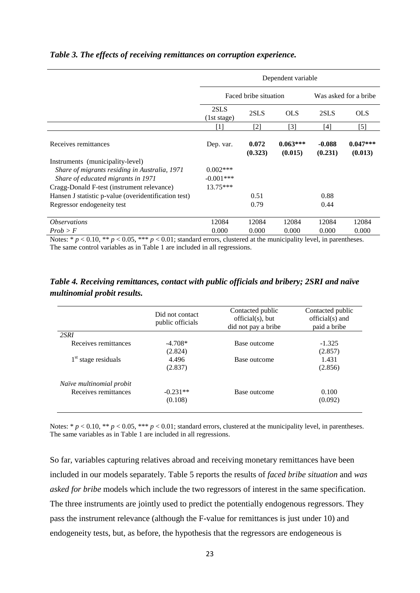|                                                                                                                                                                       | Dependent variable                       |                       |                       |                     |                       |
|-----------------------------------------------------------------------------------------------------------------------------------------------------------------------|------------------------------------------|-----------------------|-----------------------|---------------------|-----------------------|
|                                                                                                                                                                       |                                          | Faced bribe situation |                       |                     | Was asked for a bribe |
|                                                                                                                                                                       | 2SLS<br>(1st stage)                      | 2SLS                  | <b>OLS</b>            | 2SLS                | <b>OLS</b>            |
|                                                                                                                                                                       | $\lceil 1 \rceil$                        | $[2]$                 | $[3]$                 | [4]                 | $[5]$                 |
| Receives remittances                                                                                                                                                  | Dep. var.                                | 0.072<br>(0.323)      | $0.063***$<br>(0.015) | $-0.088$<br>(0.231) | $0.047***$<br>(0.013) |
| Instruments (municipality-level)<br>Share of migrants residing in Australia, 1971<br>Share of educated migrants in 1971<br>Cragg-Donald F-test (instrument relevance) | $0.002***$<br>$-0.001$ ***<br>$13.75***$ |                       |                       |                     |                       |
| Hansen J statistic p-value (overidentification test)<br>Regressor endogeneity test                                                                                    |                                          | 0.51<br>0.79          |                       | 0.88<br>0.44        |                       |
| <i><b>Observations</b></i>                                                                                                                                            | 12084                                    | 12084                 | 12084                 | 12084               | 12084                 |
| Prob > F                                                                                                                                                              | 0.000                                    | 0.000                 | 0.000                 | 0.000               | 0.000                 |

#### *Table 3. The effects of receiving remittances on corruption experience.*

Notes:  $* p < 0.10$ ,  $** p < 0.05$ ,  $** p < 0.01$ ; standard errors, clustered at the municipality level, in parentheses. The same control variables as in Table 1 are included in all regressions.

| Table 4. Receiving remittances, contact with public officials and bribery; 2SRI and naïve |  |  |  |
|-------------------------------------------------------------------------------------------|--|--|--|
| multinomial probit results.                                                               |  |  |  |

|                          | Did not contact<br>public officials | Contacted public<br>official(s), but<br>did not pay a bribe | Contacted public<br>official(s) and<br>paid a bribe |
|--------------------------|-------------------------------------|-------------------------------------------------------------|-----------------------------------------------------|
| 2SRI                     |                                     |                                                             |                                                     |
| Receives remittances     | $-4.708*$                           | Base outcome                                                | $-1.325$                                            |
|                          | (2.824)                             |                                                             | (2.857)                                             |
| $1st$ stage residuals    | 4.496                               | Base outcome                                                | 1.431                                               |
|                          | (2.837)                             |                                                             | (2.856)                                             |
| Naïve multinomial probit |                                     |                                                             |                                                     |
| Receives remittances     | $-0.231**$                          | Base outcome                                                | 0.100                                               |
|                          | (0.108)                             |                                                             | (0.092)                                             |
|                          |                                     |                                                             |                                                     |

Notes:  $* p < 0.10$ ,  $** p < 0.05$ ,  $** p < 0.01$ ; standard errors, clustered at the municipality level, in parentheses. The same variables as in Table 1 are included in all regressions.

So far, variables capturing relatives abroad and receiving monetary remittances have been included in our models separately. Table 5 reports the results of *faced bribe situation* and *was asked for bribe* models which include the two regressors of interest in the same specification. The three instruments are jointly used to predict the potentially endogenous regressors. They pass the instrument relevance (although the F-value for remittances is just under 10) and endogeneity tests, but, as before, the hypothesis that the regressors are endogeneous is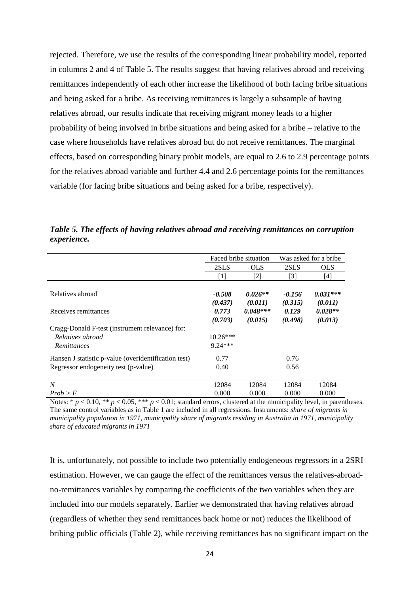rejected. Therefore, we use the results of the corresponding linear probability model, reported in columns 2 and 4 of Table 5. The results suggest that having relatives abroad and receiving remittances independently of each other increase the likelihood of both facing bribe situations and being asked for a bribe. As receiving remittances is largely a subsample of having relatives abroad, our results indicate that receiving migrant money leads to a higher probability of being involved in bribe situations and being asked for a bribe – relative to the case where households have relatives abroad but do not receive remittances. The marginal effects, based on corresponding binary probit models, are equal to 2.6 to 2.9 percentage points for the relatives abroad variable and further 4.4 and 2.6 percentage points for the remittances variable (for facing bribe situations and being asked for a bribe, respectively).

|                                                      | Faced bribe situation |                                                                                                                                                                                                               |          | Was asked for a bribe |  |
|------------------------------------------------------|-----------------------|---------------------------------------------------------------------------------------------------------------------------------------------------------------------------------------------------------------|----------|-----------------------|--|
|                                                      | 2SLS                  | <b>OLS</b>                                                                                                                                                                                                    | 2SLS     | <b>OLS</b>            |  |
|                                                      | $[1]$                 | $[2] % \includegraphics[width=0.9\columnwidth]{figures/fig_10.pdf} \caption{The 3D (black) model for the estimators in the left and right. The left and right is the same as in the right.} \label{fig:2}} %$ | $[3]$    | $[4]$                 |  |
|                                                      |                       |                                                                                                                                                                                                               |          |                       |  |
| Relatives abroad                                     | $-0.508$              | $0.026**$                                                                                                                                                                                                     | $-0.156$ | $0.031***$            |  |
|                                                      | (0.437)               | (0.011)                                                                                                                                                                                                       | (0.315)  | (0.011)               |  |
| Receives remittances                                 | 0.773                 | $0.048***$                                                                                                                                                                                                    | 0.129    | $0.028**$             |  |
|                                                      | (0.703)               | (0.015)                                                                                                                                                                                                       | (0.498)  | (0.013)               |  |
| Cragg-Donald F-test (instrument relevance) for:      |                       |                                                                                                                                                                                                               |          |                       |  |
| Relatives abroad                                     | $10.26***$            |                                                                                                                                                                                                               |          |                       |  |
| <i>Remittances</i>                                   | $9.24***$             |                                                                                                                                                                                                               |          |                       |  |
| Hansen J statistic p-value (overidentification test) | 0.77                  |                                                                                                                                                                                                               | 0.76     |                       |  |
| Regressor endogeneity test (p-value)                 | 0.40                  |                                                                                                                                                                                                               | 0.56     |                       |  |
|                                                      |                       |                                                                                                                                                                                                               |          |                       |  |
| $\boldsymbol{N}$                                     | 12084                 | 12084                                                                                                                                                                                                         | 12084    | 12084                 |  |
| Prob > F                                             | 0.000                 | 0.000                                                                                                                                                                                                         | 0.000    | 0.000                 |  |

*Table 5. The effects of having relatives abroad and receiving remittances on corruption experience.* 

Notes:  $* p < 0.10$ ,  $** p < 0.05$ ,  $** p < 0.01$ ; standard errors, clustered at the municipality level, in parentheses. The same control variables as in Table 1 are included in all regressions. Instruments: *share of migrants in municipality population in 1971, municipality* s*hare of migrants residing in Australia in 1971, municipality share of educated migrants in 1971*

It is, unfortunately, not possible to include two potentially endogeneous regressors in a 2SRI estimation. However, we can gauge the effect of the remittances versus the relatives-abroadno-remittances variables by comparing the coefficients of the two variables when they are included into our models separately. Earlier we demonstrated that having relatives abroad (regardless of whether they send remittances back home or not) reduces the likelihood of bribing public officials (Table 2), while receiving remittances has no significant impact on the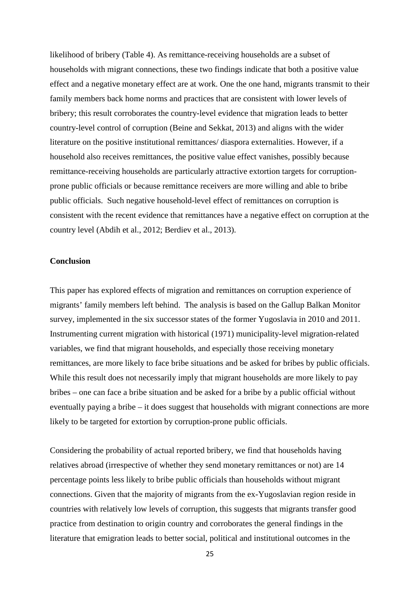likelihood of bribery (Table 4). As remittance-receiving households are a subset of households with migrant connections, these two findings indicate that both a positive value effect and a negative monetary effect are at work. One the one hand, migrants transmit to their family members back home norms and practices that are consistent with lower levels of bribery; this result corroborates the country-level evidence that migration leads to better country-level control of corruption (Beine and Sekkat, 2013) and aligns with the wider literature on the positive institutional remittances/ diaspora externalities. However, if a household also receives remittances, the positive value effect vanishes, possibly because remittance-receiving households are particularly attractive extortion targets for corruptionprone public officials or because remittance receivers are more willing and able to bribe public officials. Such negative household-level effect of remittances on corruption is consistent with the recent evidence that remittances have a negative effect on corruption at the country level (Abdih et al., 2012; Berdiev et al., 2013).

#### **Conclusion**

This paper has explored effects of migration and remittances on corruption experience of migrants' family members left behind. The analysis is based on the Gallup Balkan Monitor survey, implemented in the six successor states of the former Yugoslavia in 2010 and 2011. Instrumenting current migration with historical (1971) municipality-level migration-related variables, we find that migrant households, and especially those receiving monetary remittances, are more likely to face bribe situations and be asked for bribes by public officials. While this result does not necessarily imply that migrant households are more likely to pay bribes – one can face a bribe situation and be asked for a bribe by a public official without eventually paying a bribe – it does suggest that households with migrant connections are more likely to be targeted for extortion by corruption-prone public officials.

Considering the probability of actual reported bribery, we find that households having relatives abroad (irrespective of whether they send monetary remittances or not) are 14 percentage points less likely to bribe public officials than households without migrant connections. Given that the majority of migrants from the ex-Yugoslavian region reside in countries with relatively low levels of corruption, this suggests that migrants transfer good practice from destination to origin country and corroborates the general findings in the literature that emigration leads to better social, political and institutional outcomes in the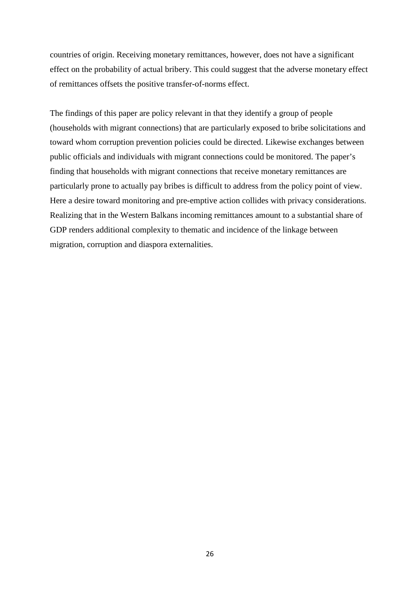countries of origin. Receiving monetary remittances, however, does not have a significant effect on the probability of actual bribery. This could suggest that the adverse monetary effect of remittances offsets the positive transfer-of-norms effect.

The findings of this paper are policy relevant in that they identify a group of people (households with migrant connections) that are particularly exposed to bribe solicitations and toward whom corruption prevention policies could be directed. Likewise exchanges between public officials and individuals with migrant connections could be monitored. The paper's finding that households with migrant connections that receive monetary remittances are particularly prone to actually pay bribes is difficult to address from the policy point of view. Here a desire toward monitoring and pre-emptive action collides with privacy considerations. Realizing that in the Western Balkans incoming remittances amount to a substantial share of GDP renders additional complexity to thematic and incidence of the linkage between migration, corruption and diaspora externalities.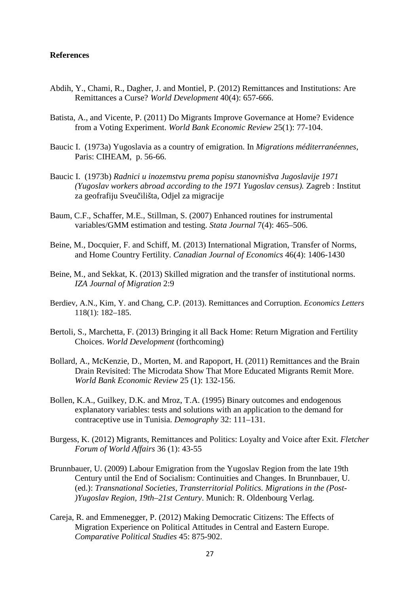#### **References**

- Abdih, Y., Chami, R., Dagher, J. and Montiel, P. (2012) Remittances and Institutions: Are Remittances a Curse? *World Development* 40(4): 657-666.
- Batista, A., and Vicente, P. (2011) Do Migrants Improve Governance at Home? Evidence from a Voting Experiment. *World Bank Economic Review* 25(1): 77-104.
- Baucic I. (1973a) Yugoslavia as a country of emigration. In *Migrations méditerranéennes,* Paris: CIHEAM, p. 56-66.
- Baucic I. (1973b) *Radnici u inozemstvu prema popisu stanovnis*̌*tva Jugoslavije 1971 (Yugoslav workers abroad according to the 1971 Yugoslav census).* Zagreb : Institut za geofrafiju Sveučilišta, Odjel za migracije
- Baum, C.F., Schaffer, M.E., Stillman, S. (2007) Enhanced routines for instrumental variables/GMM estimation and testing. *Stata Journal* 7(4): 465–506.
- Beine, M., Docquier, F. and Schiff, M. (2013) International Migration, Transfer of Norms, and Home Country Fertility. *Canadian Journal of Economics* 46(4): 1406-1430
- Beine, M., and Sekkat, K. (2013) Skilled migration and the transfer of institutional norms. *IZA Journal of Migration* 2:9
- Berdiev, A.N., Kim, Y. and Chang, C.P. (2013). Remittances and Corruption. *Economics Letters*  118(1): 182–185.
- Bertoli, S., Marchetta, F. (2013) Bringing it all Back Home: Return Migration and Fertility Choices. *World Development* (forthcoming)
- Bollard, A., McKenzie, D., Morten, M. and Rapoport, H. (2011) Remittances and the Brain Drain Revisited: The Microdata Show That More Educated Migrants Remit More. *World Bank Economic Review* 25 (1): 132-156.
- Bollen, K.A., Guilkey, D.K. and Mroz, T.A. (1995) Binary outcomes and endogenous explanatory variables: tests and solutions with an application to the demand for contraceptive use in Tunisia. *Demography* 32: 111–131.
- Burgess, K. (2012) Migrants, Remittances and Politics: Loyalty and Voice after Exit. *Fletcher Forum of World Affairs* 36 (1): 43-55
- Brunnbauer, U. (2009) Labour Emigration from the Yugoslav Region from the late 19th Century until the End of Socialism: Continuities and Changes. In Brunnbauer, U. (ed.): *Transnational Societies, Transterritorial Politics. Migrations in the (Post- )Yugoslav Region, 19th–21st Century*. Munich: R. Oldenbourg Verlag.
- Careja, R. and Emmenegger, P. (2012) Making Democratic Citizens: The Effects of Migration Experience on Political Attitudes in Central and Eastern Europe. *Comparative Political Studies* 45: 875-902.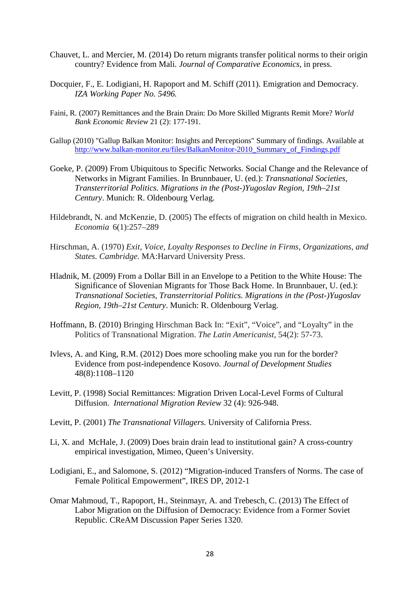- Chauvet, L. and Mercier, M. (2014) Do return migrants transfer political norms to their origin country? Evidence from Mali. *Journal of Comparative Economics*, in press.
- Docquier, F., E. Lodigiani, H. Rapoport and M. Schiff (2011). Emigration and Democracy. *IZA Working Paper No. 5496.*
- Faini, R. (2007) Remittances and the Brain Drain: Do More Skilled Migrants Remit More? *World Bank Economic Review* 21 (2): 177-191.
- Gallup (2010) "Gallup Balkan Monitor: Insights and Perceptions" Summary of findings. Available at [http://www.balkan-monitor.eu/files/BalkanMonitor-2010\\_Summary\\_of\\_Findings.pdf](https://owa.uwe.ac.uk/OWA/redir.aspx?C=1349ce7701744143b3bc6c969e78367f&URL=http%3a%2f%2fwww.balkan-monitor.eu%2ffiles%2fBalkanMonitor-2010_Summary_of_Findings.pdf)
- Goeke, P. (2009) From Ubiquitous to Specific Networks. Social Change and the Relevance of Networks in Migrant Families. In Brunnbauer, U. (ed.): *Transnational Societies, Transterritorial Politics. Migrations in the (Post-)Yugoslav Region, 19th–21st Century*. Munich: R. Oldenbourg Verlag.
- Hildebrandt, N. and McKenzie, D. (2005) The effects of migration on child health in Mexico. *Economia* 6(1):257–289
- Hirschman, A. (1970) *Exit, Voice, Loyalty Responses to Decline in Firms, Organizations, and States. Cambridge*. MA:Harvard University Press.
- Hladnik, M. (2009) From a Dollar Bill in an Envelope to a Petition to the White House: The Significance of Slovenian Migrants for Those Back Home. In Brunnbauer, U. (ed.): *Transnational Societies, Transterritorial Politics. Migrations in the (Post-)Yugoslav Region, 19th–21st Century*. Munich: R. Oldenbourg Verlag.
- Hoffmann, B. (2010) Bringing Hirschman Back In: "Exit", "Voice", and "Loyalty" in the Politics of Transnational Migration. *The Latin Americanist*, 54(2): 57-73.
- Ivlevs, A. and King, R.M. (2012) Does more schooling make you run for the border? Evidence from post-independence Kosovo. *Journal of Development Studies* 48(8):1108–1120
- Levitt, P. (1998) Social Remittances: Migration Driven Local-Level Forms of Cultural Diffusion. *International Migration Review* 32 (4): 926-948.
- Levitt, P. (2001) *The Transnational Villagers.* University of California Press.
- Li, X. and McHale, J. (2009) Does brain drain lead to institutional gain? A cross-country empirical investigation, Mimeo, Queen's University.
- Lodigiani, E., and Salomone, S. (2012) "Migration-induced Transfers of Norms. The case of Female Political Empowerment", IRES DP, 2012-1
- Omar Mahmoud, T., Rapoport, H., Steinmayr, A. and Trebesch, C. (2013) The Effect of Labor Migration on the Diffusion of Democracy: Evidence from a Former Soviet Republic. CReAM Discussion Paper Series 1320.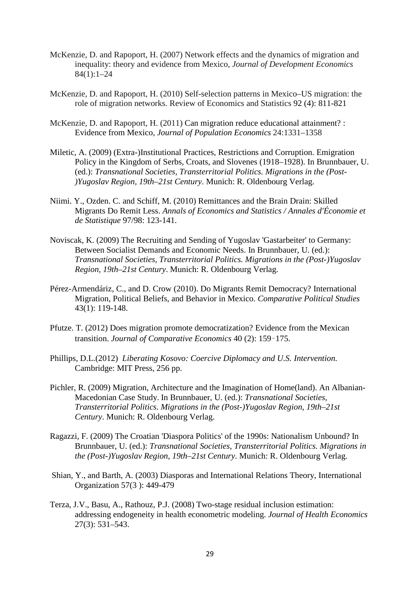- McKenzie, D. and Rapoport, H. (2007) Network effects and the dynamics of migration and inequality: theory and evidence from Mexico, *Journal of Development Economics* 84(1):1–24
- McKenzie, D. and Rapoport, H. (2010) Self-selection patterns in Mexico–US migration: the role of migration networks. Review of Economics and Statistics 92 (4): 811-821
- McKenzie, D. and Rapoport, H. (2011) Can migration reduce educational attainment? : Evidence from Mexico, *Journal of Population Economics* 24:1331–1358
- Miletic, A. (2009) (Extra-)Institutional Practices, Restrictions and Corruption. Emigration Policy in the Kingdom of Serbs, Croats, and Slovenes (1918–1928). In Brunnbauer, U. (ed.): *Transnational Societies, Transterritorial Politics. Migrations in the (Post- )Yugoslav Region, 19th–21st Century*. Munich: R. Oldenbourg Verlag.
- Niimi. Y., Ozden. C. and Schiff, M. (2010) Remittances and the Brain Drain: Skilled Migrants Do Remit Less. *Annals of Economics and Statistics / Annales d'Économie et de Statistique* 97/98: 123-141.
- Noviscak, K. (2009) The Recruiting and Sending of Yugoslav 'Gastarbeiter' to Germany: Between Socialist Demands and Economic Needs. In Brunnbauer, U. (ed.): *Transnational Societies, Transterritorial Politics. Migrations in the (Post-)Yugoslav Region, 19th–21st Century*. Munich: R. Oldenbourg Verlag.
- Pérez-Armendáriz, C., and D. Crow (2010). Do Migrants Remit Democracy? International Migration, Political Beliefs, and Behavior in Mexico. *Comparative Political Studies* 43(1): 119-148.
- Pfutze. T. (2012) Does migration promote democratization? Evidence from the Mexican transition. *Journal of Comparative Economics* 40 (2): 159–175.
- Phillips, D.L.(2012) *Liberating Kosovo: Coercive Diplomacy and U.S. Intervention.*  Cambridge: MIT Press, 256 pp.
- Pichler, R. (2009) Migration, Architecture and the Imagination of Home(land). An Albanian-Macedonian Case Study. In Brunnbauer, U. (ed.): *Transnational Societies, Transterritorial Politics. Migrations in the (Post-)Yugoslav Region, 19th–21st Century*. Munich: R. Oldenbourg Verlag.
- Ragazzi, F. (2009) The Croatian 'Diaspora Politics' of the 1990s: Nationalism Unbound? In Brunnbauer, U. (ed.): *Transnational Societies, Transterritorial Politics. Migrations in the (Post-)Yugoslav Region, 19th–21st Century*. Munich: R. Oldenbourg Verlag.
- Shian, Y., and Barth, A. (2003) Diasporas and International Relations Theory, International Organization 57(3 ): 449-479
- Terza, J.V., Basu, A., Rathouz, P.J. (2008) Two-stage residual inclusion estimation: addressing endogeneity in health econometric modeling. *Journal of Health Economics* 27(3): 531–543.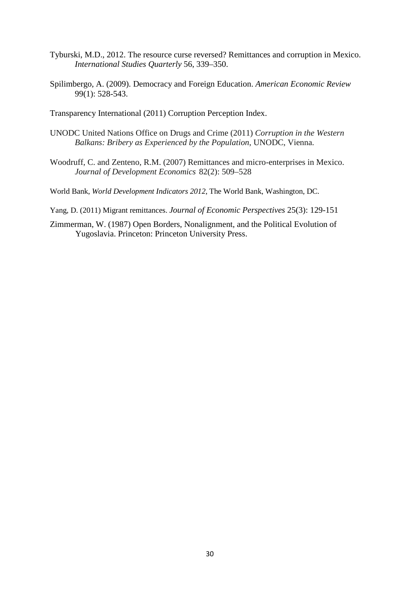- Tyburski, M.D., 2012. The resource curse reversed? Remittances and corruption in Mexico. *International Studies Quarterly* 56, 339–350.
- Spilimbergo, A. (2009). Democracy and Foreign Education. *American Economic Review* 99(1): 528-543.
- Transparency International (2011) Corruption Perception Index.
- UNODC United Nations Office on Drugs and Crime (2011) *Corruption in the Western Balkans: Bribery as Experienced by the Population*, UNODC, Vienna.
- Woodruff, C. and Zenteno, R.M. (2007) Remittances and micro-enterprises in Mexico. *Journal of Development Economics* 82(2): 509–528
- World Bank, *World Development Indicators 2012*, The World Bank, Washington, DC.
- Yang, D. (2011) Migrant remittances. *Journal of Economic Perspectives* 25(3): 129-151
- Zimmerman, W. (1987) Open Borders, Nonalignment, and the Political Evolution of Yugoslavia. Princeton: Princeton University Press.